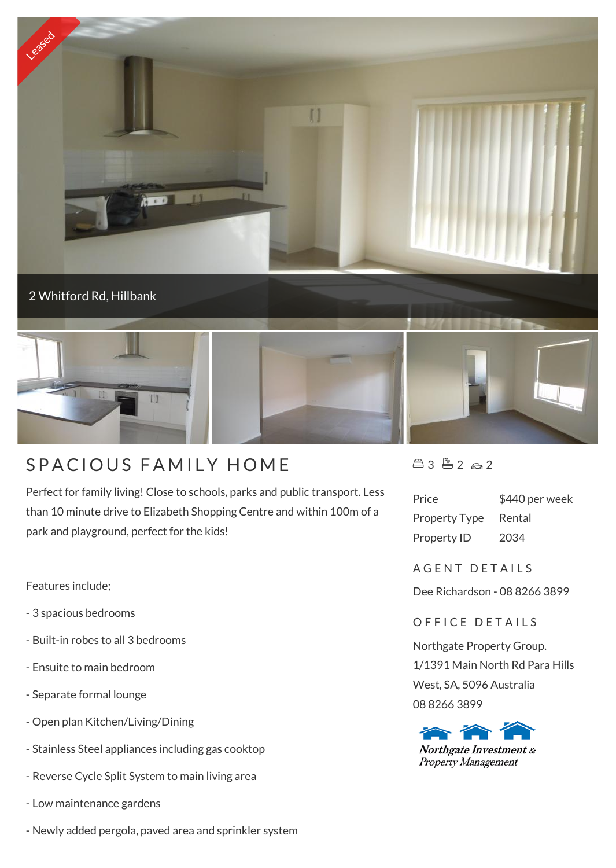

## SPACIOUS FAMILY HOME

Perfect for family living! Close to schools, parks and public transport. Less than 10 minute drive to Elizabeth Shopping Centre and within 100m of a park and playground, perfect for the kids!

Features include;

- 3 spacious bedrooms
- Built-in robes to all 3 bedrooms
- Ensuite to main bedroom
- Separate formal lounge
- Open plan Kitchen/Living/Dining
- Stainless Steel appliances including gas cooktop
- Reverse Cycle Split System to main living area
- Low maintenance gardens
- Newly added pergola, paved area and sprinkler system

 $43 - 2 - 2$ 

| Price                | \$440 per week |
|----------------------|----------------|
| <b>Property Type</b> | Rental         |
| Property ID          | 2034           |

A G F N T D F T A I L S

Dee Richardson - 08 8266 3899

## OFFICE DETAILS

Northgate Property Group. 1/1391 Main North Rd Para Hills West, SA, 5096 Australia 08 8266 3899